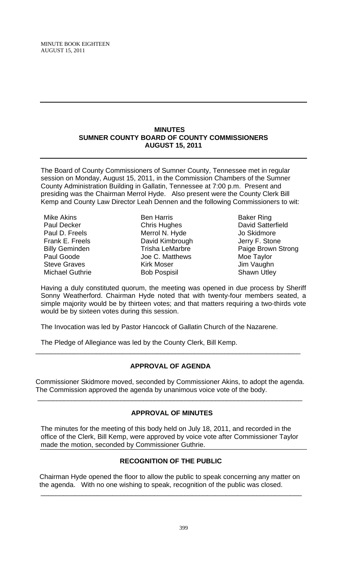### **MINUTES SUMNER COUNTY BOARD OF COUNTY COMMISSIONERS AUGUST 15, 2011**

The Board of County Commissioners of Sumner County, Tennessee met in regular session on Monday, August 15, 2011, in the Commission Chambers of the Sumner County Administration Building in Gallatin, Tennessee at 7:00 p.m. Present and presiding was the Chairman Merrol Hyde. Also present were the County Clerk Bill Kemp and County Law Director Leah Dennen and the following Commissioners to wit:

Mike Akins Paul Decker Paul D. Freels Frank E. Freels Billy Geminden Paul Goode Steve Graves Michael Guthrie

Ben Harris Chris Hughes Merrol N. Hyde David Kimbrough Trisha LeMarbre Joe C. Matthews Kirk Moser Bob Pospisil

Baker Ring David Satterfield Jo Skidmore Jerry F. Stone Paige Brown Strong Moe Taylor Jim Vaughn Shawn Utley

Having a duly constituted quorum, the meeting was opened in due process by Sheriff Sonny Weatherford. Chairman Hyde noted that with twenty-four members seated, a simple majority would be by thirteen votes; and that matters requiring a two-thirds vote would be by sixteen votes during this session.

The Invocation was led by Pastor Hancock of Gallatin Church of the Nazarene.

The Pledge of Allegiance was led by the County Clerk, Bill Kemp.

## **APPROVAL OF AGENDA**

\_\_\_\_\_\_\_\_\_\_\_\_\_\_\_\_\_\_\_\_\_\_\_\_\_\_\_\_\_\_\_\_\_\_\_\_\_\_\_\_\_\_\_\_\_\_\_\_\_\_\_\_\_\_\_\_\_\_\_\_\_\_\_\_\_\_\_\_\_\_

Commissioner Skidmore moved, seconded by Commissioner Akins, to adopt the agenda. The Commission approved the agenda by unanimous voice vote of the body.

\_\_\_\_\_\_\_\_\_\_\_\_\_\_\_\_\_\_\_\_\_\_\_\_\_\_\_\_\_\_\_\_\_\_\_\_\_\_\_\_\_\_\_\_\_\_\_\_\_\_\_\_\_\_\_\_\_\_\_\_\_\_\_\_\_\_\_\_\_\_

## **APPROVAL OF MINUTES**

The minutes for the meeting of this body held on July 18, 2011, and recorded in the office of the Clerk, Bill Kemp, were approved by voice vote after Commissioner Taylor made the motion, seconded by Commissioner Guthrie.

## **RECOGNITION OF THE PUBLIC**

 Chairman Hyde opened the floor to allow the public to speak concerning any matter on the agenda. With no one wishing to speak, recognition of the public was closed.

\_\_\_\_\_\_\_\_\_\_\_\_\_\_\_\_\_\_\_\_\_\_\_\_\_\_\_\_\_\_\_\_\_\_\_\_\_\_\_\_\_\_\_\_\_\_\_\_\_\_\_\_\_\_\_\_\_\_\_\_\_\_\_\_\_\_\_\_\_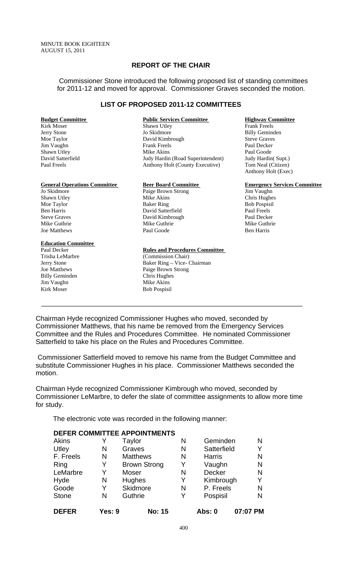## **REPORT OF THE CHAIR**

Commissioner Stone introduced the following proposed list of standing committees for 2011-12 and moved for approval. Commissioner Graves seconded the motion.

#### **LIST OF PROPOSED 2011-12 COMMITTEES**

Jim Vaughn

#### **Education Committee**

Trisha LeMarbre (Commission Chair) Billy Geminden Chris Hughes Jim Vaughn Mike Akins Kirk Moser Bob Pospisil

# **Budget Committee Public Services Committee Highway Committee Kirk Moser Committee Shawn Utley Committee Righway Committee Righway Committee Righway Committee Shawn Utley Committee Righway Committee Rightway Committee Shaw**

Shawn Utley Jo Skidmore Billy Geminden Moe Taylor David Kimbrough Steve Graves Shawn Utley Mike Akins Paul Goode Judy Hardin (Road Superintendent) Judy Hardin (Supt.) Paul Freels Anthony Holt (County Executive) Tom Neal (Citizen)

Paige Brown Strong Shawn Utley **Shawn Utley** Mike Akins **Chris Hughes** Chris Hughes Moe Taylor Baker Ring Baker Ring Bob Pospisil Ben Harris David Satterfield Paul Freels Steve Graves **David Kimbrough Paul Decker** Paul Decker Mike Guthrie Mike Guthrie Mike Guthrie Mike Guthrie Mike Guthrie Joe Matthews **Paul Goode** Ben Harris **Paul Goode** Ben Harris

#### Paul Decker **Rules and Procedures Committee**

Jerry Stone Baker Ring – Vice- Chairman Joe Matthews Paige Brown Strong

# Anthony Holt (Exec)

**General Operations Committee Beer Board Committee Emergency Services Committee**<br>
Jo Skidmore Paige Brown Strong Biggers and Tim Vaughn

Chairman Hyde recognized Commissioner Hughes who moved, seconded by Commissioner Matthews, that his name be removed from the Emergency Services Committee and the Rules and Procedures Committee. He nominated Commissioner Satterfield to take his place on the Rules and Procedures Committee.

 $\overline{\phantom{a}}$  , and the contribution of the contribution of the contribution of the contribution of the contribution of the contribution of the contribution of the contribution of the contribution of the contribution of the

 Commissioner Satterfield moved to remove his name from the Budget Committee and substitute Commissioner Hughes in his place. Commissioner Matthews seconded the motion.

Chairman Hyde recognized Commissioner Kimbrough who moved, seconded by Commissioner LeMarbre, to defer the slate of committee assignments to allow more time for study.

The electronic vote was recorded in the following manner:

|              |        | <b>DEFER COMMITTEE APPOINTMENTS</b> |   |               |          |
|--------------|--------|-------------------------------------|---|---------------|----------|
| Akins        |        | Taylor                              | N | Geminden      | N        |
| Utley        | N      | Graves                              | N | Satterfield   | Y        |
| F. Freels    | N      | <b>Matthews</b>                     | N | <b>Harris</b> | N        |
| Ring         | Y      | <b>Brown Strong</b>                 | Y | Vaughn        | N        |
| LeMarbre     | Y      | Moser                               | N | <b>Decker</b> | N        |
| Hyde         | N      | Hughes                              | Y | Kimbrough     | Y        |
| Goode        | Y      | Skidmore                            | N | P. Freels     | N        |
| <b>Stone</b> | N      | Guthrie                             | Y | Pospisil      | N        |
| <b>DEFER</b> | Yes: 9 | <b>No: 15</b>                       |   | Abs: 0        | 07:07 PM |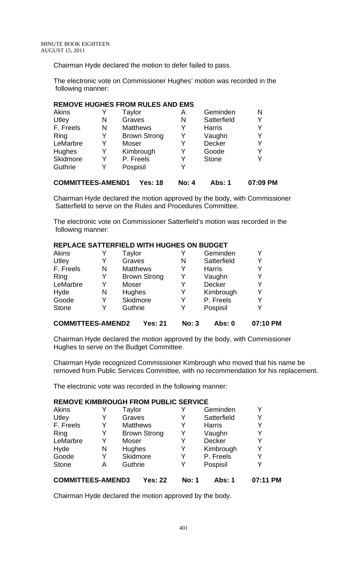Chairman Hyde declared the motion to defer failed to pass.

The electronic vote on Commissioner Hughes' motion was recorded in the following manner:

## **REMOVE HUGHES FROM RULES AND EMS**

| Akins                    |   | Taylor              | Α            | Geminden      | N        |
|--------------------------|---|---------------------|--------------|---------------|----------|
| Utley                    | N | Graves              | N            | Satterfield   | Y        |
| F. Freels                | N | <b>Matthews</b>     | Y            | <b>Harris</b> | Y        |
| Ring                     | Y | <b>Brown Strong</b> | Y            | Vaughn        | Y        |
| LeMarbre                 | Y | Moser               | Y            | Decker        | Y        |
| <b>Hughes</b>            | Y | Kimbrough           | Y            | Goode         | Y        |
| Skidmore                 | Y | P. Freels           | Y            | <b>Stone</b>  | Y        |
| Guthrie                  | Y | Pospisil            | Y            |               |          |
| <b>COMMITTEES-AMEND1</b> |   | Yes: 18             | <b>No: 4</b> | <b>Abs: 1</b> | 07:09 PM |

Chairman Hyde declared the motion approved by the body, with Commissioner Satterfield to serve on the Rules and Procedures Committee.

The electronic vote on Commissioner Satterfield's motion was recorded in the following manner:

## **REPLACE SATTERFIELD WITH HUGHES ON BUDGET**

| <b>Akins</b> |   | Taylor              |   | Geminden      |   |
|--------------|---|---------------------|---|---------------|---|
| Utley        | Y | Graves              | N | Satterfield   | V |
| F. Freels    | N | <b>Matthews</b>     | Y | <b>Harris</b> |   |
| Ring         | Y | <b>Brown Strong</b> | Y | Vaughn        |   |
| LeMarbre     | Y | Moser               |   | <b>Decker</b> |   |
| Hyde         | N | Hughes              | Y | Kimbrough     |   |
| Goode        | Y | Skidmore            | Y | P. Freels     |   |
| <b>Stone</b> | Y | Guthrie             | Y | Pospisil      |   |
|              |   |                     |   |               |   |
|              |   |                     |   |               |   |

## **COMMITTEES-AMEND2 Yes: 21 No: 3 Abs: 0 07:10 PM**

Chairman Hyde declared the motion approved by the body, with Commissioner Hughes to serve on the Budget Committee.

Chairman Hyde recognized Commissioner Kimbrough who moved that his name be removed from Public Services Committee, with no recommendation for his replacement.

The electronic vote was recorded in the following manner:

## **REMOVE KIMBROUGH FROM PUBLIC SERVICE**

| Akins                    |   | Taylor  |                     | Y            | Geminden      | v        |
|--------------------------|---|---------|---------------------|--------------|---------------|----------|
| Utley                    | Y | Graves  |                     | Y            | Satterfield   | Y        |
| F. Freels                | Y |         | <b>Matthews</b>     | Y            | <b>Harris</b> | Y        |
| Ring                     | Y |         | <b>Brown Strong</b> | Y            | Vaughn        | Y        |
| LeMarbre                 | Y | Moser   |                     | Y            | Decker        | Y        |
| Hyde                     | N | Hughes  |                     | Y            | Kimbrough     | Y        |
| Goode                    | Y |         | Skidmore            | Y            | P. Freels     | Y        |
| <b>Stone</b>             | А | Guthrie |                     | Y            | Pospisil      | v        |
| <b>COMMITTEES-AMEND3</b> |   |         | Yes: 22             | <b>No: 1</b> | Abs: 1        | 07:11 PM |

Chairman Hyde declared the motion approved by the body.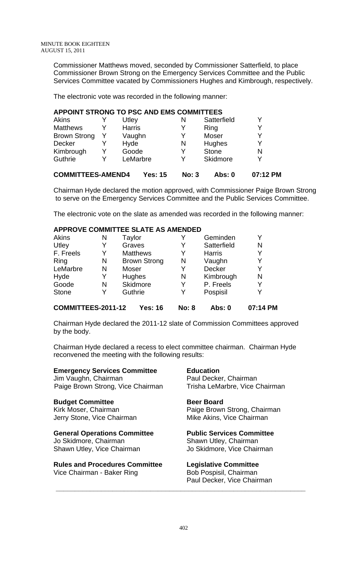Commissioner Matthews moved, seconded by Commissioner Satterfield, to place Commissioner Brown Strong on the Emergency Services Committee and the Public Services Committee vacated by Commissioners Hughes and Kimbrough, respectively.

The electronic vote was recorded in the following manner:

## **APPOINT STRONG TO PSC AND EMS COMMITTEES**

| <b>COMMITTEES-AMEND4</b> |   |               | Yes: 15  | No: 3 | Abs: 0          | 07:12 PM |
|--------------------------|---|---------------|----------|-------|-----------------|----------|
| Guthrie                  | v |               | LeMarbre | Y     | <b>Skidmore</b> | v        |
| Kimbrough                | Y | Goode         |          | Y     | <b>Stone</b>    | N        |
| Decker                   |   | Hyde          |          | N     | Hughes          | v        |
| <b>Brown Strong</b>      |   | Vaughn        |          | Y     | Moser           | v        |
| <b>Matthews</b>          |   | <b>Harris</b> |          | Y     | Ring            | V        |
| Akins                    |   | Utley         |          | Ν     | Satterfield     |          |

Chairman Hyde declared the motion approved, with Commissioner Paige Brown Strong to serve on the Emergency Services Committee and the Public Services Committee.

The electronic vote on the slate as amended was recorded in the following manner:

## **APPROVE COMMITTEE SLATE AS AMENDED**

| <b>Akins</b> | Ν | Taylor              | Y | Geminden      | Y |
|--------------|---|---------------------|---|---------------|---|
| Utley        | Y | Graves              | Y | Satterfield   | N |
| F. Freels    | Y | <b>Matthews</b>     | Y | <b>Harris</b> | Y |
| Ring         | N | <b>Brown Strong</b> | N | Vaughn        | Y |
| LeMarbre     | N | Moser               |   | Decker        | Y |
| Hyde         |   | <b>Hughes</b>       | N | Kimbrough     | N |
| Goode        | N | Skidmore            | Y | P. Freels     | Y |
| <b>Stone</b> |   | Guthrie             | Y | Pospisil      | Y |
|              |   |                     |   |               |   |

## **COMMITTEES-2011-12 Yes: 16 No: 8 Abs: 0 07:14 PM**

Chairman Hyde declared the 2011-12 slate of Commission Committees approved by the body.

Chairman Hyde declared a recess to elect committee chairman. Chairman Hyde reconvened the meeting with the following results:

## **Emergency Services Committee**

Jim Vaughn, Chairman Paige Brown Strong, Vice Chairman

## **Budget Committee**

Kirk Moser, Chairman Jerry Stone, Vice Chairman

## **General Operations Committee**

Jo Skidmore, Chairman Shawn Utley, Vice Chairman

**Rules and Procedures Committee**  Vice Chairman - Baker Ring

# **Education**

Paul Decker, Chairman Trisha LeMarbre, Vice Chairman

## **Beer Board**

Paige Brown Strong, Chairman Mike Akins, Vice Chairman

### **Public Services Committee**  Shawn Utley, Chairman

Jo Skidmore, Vice Chairman

## **Legislative Committee**

Bob Pospisil, Chairman Paul Decker, Vice Chairman

 **\_\_\_\_\_\_\_\_\_\_\_\_\_\_\_\_\_\_\_\_\_\_\_\_\_\_\_\_\_\_\_\_\_\_\_\_\_\_\_\_\_\_\_\_\_\_\_\_\_\_\_\_\_\_\_\_\_\_\_\_\_\_\_\_\_\_**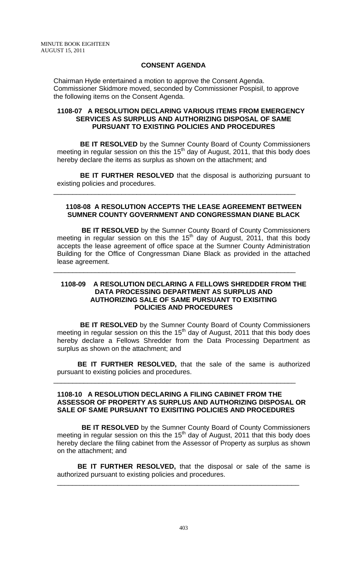## **CONSENT AGENDA**

Chairman Hyde entertained a motion to approve the Consent Agenda. Commissioner Skidmore moved, seconded by Commissioner Pospisil, to approve the following items on the Consent Agenda.

## **1108-07 A RESOLUTION DECLARING VARIOUS ITEMS FROM EMERGENCY SERVICES AS SURPLUS AND AUTHORIZING DISPOSAL OF SAME PURSUANT TO EXISTING POLICIES AND PROCEDURES**

 **BE IT RESOLVED** by the Sumner County Board of County Commissioners meeting in regular session on this the 15<sup>th</sup> day of August, 2011, that this body does hereby declare the items as surplus as shown on the attachment; and

**BE IT FURTHER RESOLVED** that the disposal is authorizing pursuant to existing policies and procedures.

\_\_\_\_\_\_\_\_\_\_\_\_\_\_\_\_\_\_\_\_\_\_\_\_\_\_\_\_\_\_\_\_\_\_\_\_\_\_\_\_\_\_\_\_\_\_\_\_\_\_\_\_\_\_\_\_\_\_\_\_\_\_\_\_

## **1108-08 A RESOLUTION ACCEPTS THE LEASE AGREEMENT BETWEEN SUMNER COUNTY GOVERNMENT AND CONGRESSMAN DIANE BLACK**

**BE IT RESOLVED** by the Sumner County Board of County Commissioners meeting in regular session on this the 15<sup>th</sup> day of August, 2011, that this body accepts the lease agreement of office space at the Sumner County Administration Building for the Office of Congressman Diane Black as provided in the attached lease agreement.

\_\_\_\_\_\_\_\_\_\_\_\_\_\_\_\_\_\_\_\_\_\_\_\_\_\_\_\_\_\_\_\_\_\_\_\_\_\_\_\_\_\_\_\_\_\_\_\_\_\_\_\_\_\_\_\_\_\_\_\_\_\_\_\_

### **1108-09 A RESOLUTION DECLARING A FELLOWS SHREDDER FROM THE DATA PROCESSING DEPARTMENT AS SURPLUS AND AUTHORIZING SALE OF SAME PURSUANT TO EXISITING POLICIES AND PROCEDURES**

 **BE IT RESOLVED** by the Sumner County Board of County Commissioners meeting in regular session on this the  $15<sup>th</sup>$  day of August, 2011 that this body does hereby declare a Fellows Shredder from the Data Processing Department as surplus as shown on the attachment; and

**BE IT FURTHER RESOLVED,** that the sale of the same is authorized pursuant to existing policies and procedures.

\_\_\_\_\_\_\_\_\_\_\_\_\_\_\_\_\_\_\_\_\_\_\_\_\_\_\_\_\_\_\_\_\_\_\_\_\_\_\_\_\_\_\_\_\_\_\_\_\_\_\_\_\_\_\_\_\_\_\_\_\_\_\_\_

## **1108-10 A RESOLUTION DECLARING A FILING CABINET FROM THE ASSESSOR OF PROPERTY AS SURPLUS AND AUTHORIZING DISPOSAL OR SALE OF SAME PURSUANT TO EXISITING POLICIES AND PROCEDURES**

 **BE IT RESOLVED** by the Sumner County Board of County Commissioners meeting in regular session on this the  $15<sup>th</sup>$  day of August, 2011 that this body does hereby declare the filing cabinet from the Assessor of Property as surplus as shown on the attachment; and

**BE IT FURTHER RESOLVED,** that the disposal or sale of the same is authorized pursuant to existing policies and procedures.

\_\_\_\_\_\_\_\_\_\_\_\_\_\_\_\_\_\_\_\_\_\_\_\_\_\_\_\_\_\_\_\_\_\_\_\_\_\_\_\_\_\_\_\_\_\_\_\_\_\_\_\_\_\_\_\_\_\_\_\_\_\_\_\_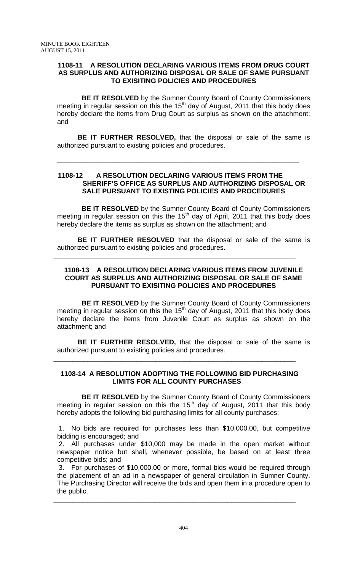## **1108-11 A RESOLUTION DECLARING VARIOUS ITEMS FROM DRUG COURT AS SURPLUS AND AUTHORIZING DISPOSAL OR SALE OF SAME PURSUANT TO EXISITING POLICIES AND PROCEDURES**

**BE IT RESOLVED** by the Sumner County Board of County Commissioners meeting in regular session on this the 15<sup>th</sup> day of August, 2011 that this body does hereby declare the items from Drug Court as surplus as shown on the attachment; and

**BE IT FURTHER RESOLVED,** that the disposal or sale of the same is authorized pursuant to existing policies and procedures.

## **1108-12 A RESOLUTION DECLARING VARIOUS ITEMS FROM THE SHERIFF'S OFFICE AS SURPLUS AND AUTHORIZING DISPOSAL OR SALE PURSUANT TO EXISTING POLICIES AND PROCEDURES**

**\_\_\_\_\_\_\_\_\_\_\_\_\_\_\_\_\_\_\_\_\_\_\_\_\_\_\_\_\_\_\_\_\_\_\_\_\_\_\_\_\_\_\_\_\_\_\_\_\_\_\_\_\_\_\_\_\_\_\_\_\_\_\_\_** 

 **BE IT RESOLVED** by the Sumner County Board of County Commissioners meeting in regular session on this the  $15<sup>th</sup>$  day of April, 2011 that this body does hereby declare the items as surplus as shown on the attachment; and

**BE IT FURTHER RESOLVED** that the disposal or sale of the same is authorized pursuant to existing policies and procedures.

\_\_\_\_\_\_\_\_\_\_\_\_\_\_\_\_\_\_\_\_\_\_\_\_\_\_\_\_\_\_\_\_\_\_\_\_\_\_\_\_\_\_\_\_\_\_\_\_\_\_\_\_\_\_\_\_\_\_\_\_\_\_\_\_

## **1108-13 A RESOLUTION DECLARING VARIOUS ITEMS FROM JUVENILE COURT AS SURPLUS AND AUTHORIZING DISPOSAL OR SALE OF SAME PURSUANT TO EXISITING POLICIES AND PROCEDURES**

 **BE IT RESOLVED** by the Sumner County Board of County Commissioners meeting in regular session on this the  $15<sup>th</sup>$  day of August, 2011 that this body does hereby declare the items from Juvenile Court as surplus as shown on the attachment; and

**BE IT FURTHER RESOLVED,** that the disposal or sale of the same is authorized pursuant to existing policies and procedures.

## **1108-14 A RESOLUTION ADOPTING THE FOLLOWING BID PURCHASING LIMITS FOR ALL COUNTY PURCHASES**

\_\_\_\_\_\_\_\_\_\_\_\_\_\_\_\_\_\_\_\_\_\_\_\_\_\_\_\_\_\_\_\_\_\_\_\_\_\_\_\_\_\_\_\_\_\_\_\_\_\_\_\_\_\_\_\_\_\_\_\_\_\_\_\_

 **BE IT RESOLVED** by the Sumner County Board of County Commissioners meeting in regular session on this the  $15<sup>th</sup>$  day of August, 2011 that this body hereby adopts the following bid purchasing limits for all county purchases:

1. No bids are required for purchases less than \$10,000.00, but competitive bidding is encouraged; and

2. All purchases under \$10,000 may be made in the open market without newspaper notice but shall, whenever possible, be based on at least three competitive bids; and

3. For purchases of \$10,000.00 or more, formal bids would be required through the placement of an ad in a newspaper of general circulation in Sumner County. The Purchasing Director will receive the bids and open them in a procedure open to the public.

\_\_\_\_\_\_\_\_\_\_\_\_\_\_\_\_\_\_\_\_\_\_\_\_\_\_\_\_\_\_\_\_\_\_\_\_\_\_\_\_\_\_\_\_\_\_\_\_\_\_\_\_\_\_\_\_\_\_\_\_\_\_\_\_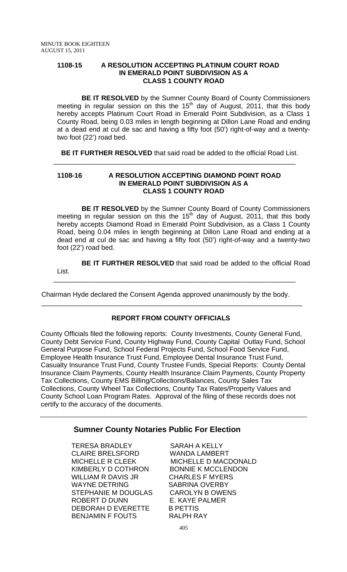## **1108-15 A RESOLUTION ACCEPTING PLATINUM COURT ROAD IN EMERALD POINT SUBDIVISION AS A CLASS 1 COUNTY ROAD**

 **BE IT RESOLVED** by the Sumner County Board of County Commissioners meeting in regular session on this the 15<sup>th</sup> day of August, 2011, that this body hereby accepts Platinum Court Road in Emerald Point Subdivision, as a Class 1 County Road, being 0.03 miles in length beginning at Dillon Lane Road and ending at a dead end at cul de sac and having a fifty foot (50') right-of-way and a twentytwo foot (22') road bed.

**BE IT FURTHER RESOLVED** that said road be added to the official Road List.

\_\_\_\_\_\_\_\_\_\_\_\_\_\_\_\_\_\_\_\_\_\_\_\_\_\_\_\_\_\_\_\_\_\_\_\_\_\_\_\_\_\_\_\_\_\_\_\_\_\_\_\_\_\_\_\_\_\_\_\_\_\_\_\_

## **1108-16 A RESOLUTION ACCEPTING DIAMOND POINT ROAD IN EMERALD POINT SUBDIVISION AS A CLASS 1 COUNTY ROAD**

 **BE IT RESOLVED** by the Sumner County Board of County Commissioners meeting in regular session on this the  $15<sup>th</sup>$  day of August, 2011, that this body hereby accepts Diamond Road in Emerald Point Subdivision, as a Class 1 County Road, being 0.04 miles in length beginning at Dillon Lane Road and ending at a dead end at cul de sac and having a fifty foot (50') right-of-way and a twenty-two foot (22') road bed.

**BE IT FURTHER RESOLVED** that said road be added to the official Road List.

\_\_\_\_\_\_\_\_\_\_\_\_\_\_\_\_\_\_\_\_\_\_\_\_\_\_\_\_\_\_\_\_\_\_\_\_\_\_\_\_\_\_\_\_\_\_\_\_\_\_\_\_\_\_\_\_\_\_\_\_\_\_\_\_

 Chairman Hyde declared the Consent Agenda approved unanimously by the body.  $\overline{\phantom{a}}$  , and the contribution of the contribution of the contribution of the contribution of the contribution of the contribution of the contribution of the contribution of the contribution of the contribution of the

## **REPORT FROM COUNTY OFFICIALS**

County Officials filed the following reports: County Investments, County General Fund, County Debt Service Fund, County Highway Fund, County Capital Outlay Fund, School General Purpose Fund, School Federal Projects Fund, School Food Service Fund, Employee Health Insurance Trust Fund, Employee Dental Insurance Trust Fund, Casualty Insurance Trust Fund, County Trustee Funds, Special Reports: County Dental Insurance Claim Payments, County Health Insurance Claim Payments, County Property Tax Collections, County EMS Billing/Collections/Balances, County Sales Tax Collections, County Wheel Tax Collections, County Tax Rates/Property Values and County School Loan Program Rates. Approval of the filing of these records does not certify to the accuracy of the documents.

## **Sumner County Notaries Public For Election**

TERESA BRADLEY SARAH A KELLY CLAIRE BRELSFORD WANDA LAMBERT KIMBERLY D COTHRON BONNIE K MCCLENDON WILLIAM R DAVIS JR CHARLES F MYERS WAYNE DETRING SABRINA OVERBY STEPHANIE M DOUGLAS CAROLYN B OWENS ROBERT D DUNN E. KAYE PALMER DEBORAH D EVERETTE B PETTIS BENJAMIN F FOUTS RALPH RAY

MICHELLE R CLEEK MICHELLE D MACDONALD

405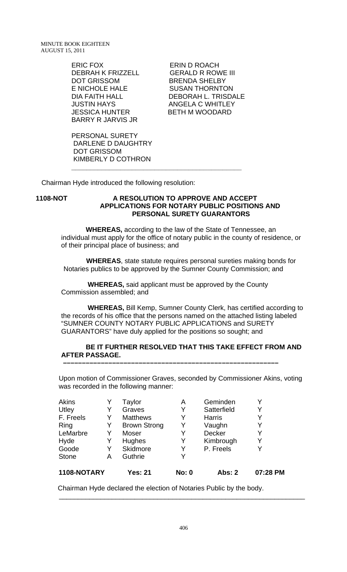MINUTE BOOK EIGHTEEN AUGUST 15, 2011

> ERIC FOX ERIN D ROACH DEBRAH K FRIZZELL GERALD R ROWE III DOT GRISSOM BRENDA SHELBY E NICHOLE HALE SUSAN THORNTON JUSTIN HAYS ANGELA C WHITLEY JESSICA HUNTER BETH M WOODARD BARRY R JARVIS JR

DEBORAH L. TRISDALE

PERSONAL SURETY DARLENE D DAUGHTRY DOT GRISSOM KIMBERLY D COTHRON

Chairman Hyde introduced the following resolution:

## **1108-NOT A RESOLUTION TO APPROVE AND ACCEPT APPLICATIONS FOR NOTARY PUBLIC POSITIONS AND PERSONAL SURETY GUARANTORS**

 **WHEREAS,** according to the law of the State of Tennessee, an individual must apply for the office of notary public in the county of residence, or of their principal place of business; and

 **WHEREAS**, state statute requires personal sureties making bonds for Notaries publics to be approved by the Sumner County Commission; and

 **WHEREAS,** said applicant must be approved by the County Commission assembled; and

 **–––––––––––––––––––––––––––––––––––––––––––––––––––––––––**

**\_\_\_\_\_\_\_\_\_\_\_\_\_\_\_\_\_\_\_\_\_\_\_\_\_\_\_\_\_\_\_\_\_\_\_\_\_\_\_\_\_\_\_\_\_** 

 **WHEREAS,** Bill Kemp, Sumner County Clerk, has certified according to the records of his office that the persons named on the attached listing labeled "SUMNER COUNTY NOTARY PUBLIC APPLICATIONS and SURETY GUARANTORS" have duly applied for the positions so sought; and

## **BE IT FURTHER RESOLVED THAT THIS TAKE EFFECT FROM AND AFTER PASSAGE.**

Upon motion of Commissioner Graves, seconded by Commissioner Akins, voting was recorded in the following manner:

| 1108-NOTARY  |   | Yes: 21             | <b>No: 0</b> | Abs: 2        | 07:28 PM |
|--------------|---|---------------------|--------------|---------------|----------|
| <b>Stone</b> | А | Guthrie             | v            |               |          |
| Goode        | Y | Skidmore            | Y            | P. Freels     | Y        |
| Hyde         | Y | Hughes              | Y            | Kimbrough     | Y        |
| LeMarbre     | Y | Moser               |              | <b>Decker</b> | Y        |
| Ring         | Y | <b>Brown Strong</b> | Y            | Vaughn        | Y        |
| F. Freels    | Y | <b>Matthews</b>     | Y            | <b>Harris</b> | Y        |
| Utley        | Y | Graves              | Y            | Satterfield   | Y        |
| <b>Akins</b> |   | Taylor              | A            | Geminden      |          |

Chairman Hyde declared the election of Notaries Public by the body.

 $\frac{1}{2}$  ,  $\frac{1}{2}$  ,  $\frac{1}{2}$  ,  $\frac{1}{2}$  ,  $\frac{1}{2}$  ,  $\frac{1}{2}$  ,  $\frac{1}{2}$  ,  $\frac{1}{2}$  ,  $\frac{1}{2}$  ,  $\frac{1}{2}$  ,  $\frac{1}{2}$  ,  $\frac{1}{2}$  ,  $\frac{1}{2}$  ,  $\frac{1}{2}$  ,  $\frac{1}{2}$  ,  $\frac{1}{2}$  ,  $\frac{1}{2}$  ,  $\frac{1}{2}$  ,  $\frac{1$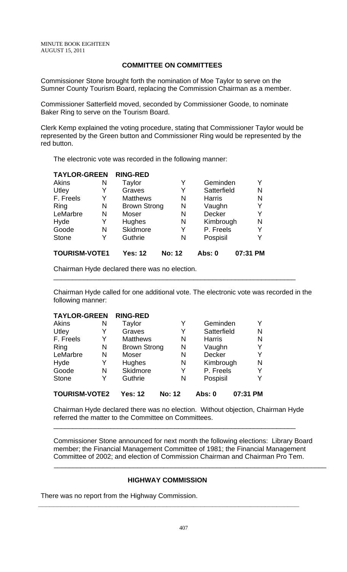## **COMMITTEE ON COMMITTEES**

Commissioner Stone brought forth the nomination of Moe Taylor to serve on the Sumner County Tourism Board, replacing the Commission Chairman as a member.

Commissioner Satterfield moved, seconded by Commissioner Goode, to nominate Baker Ring to serve on the Tourism Board.

Clerk Kemp explained the voting procedure, stating that Commissioner Taylor would be represented by the Green button and Commissioner Ring would be represented by the red button.

The electronic vote was recorded in the following manner:

| <b>TAYLOR-GREEN</b>  |   | <b>RING-RED</b>     |               |               |          |
|----------------------|---|---------------------|---------------|---------------|----------|
| Akins                | N | Taylor              | Y             | Geminden      | Y        |
| Utley                | Y | Graves              | Y             | Satterfield   | N        |
| F. Freels            | Y | <b>Matthews</b>     | N             | <b>Harris</b> | N        |
| Ring                 | N | <b>Brown Strong</b> | N             | Vaughn        | Y        |
| LeMarbre             | N | Moser               | N             | <b>Decker</b> | Y        |
| Hyde                 | Y | <b>Hughes</b>       | N             | Kimbrough     | N        |
| Goode                | N | <b>Skidmore</b>     | Y             | P. Freels     | Y        |
| <b>Stone</b>         | Y | Guthrie             | N             | Pospisil      | Y        |
| <b>TOURISM-VOTE1</b> |   | <b>Yes: 12</b>      | <b>No: 12</b> | Abs: 0        | 07:31 PM |

Chairman Hyde declared there was no election.

Chairman Hyde called for one additional vote. The electronic vote was recorded in the following manner:

\_\_\_\_\_\_\_\_\_\_\_\_\_\_\_\_\_\_\_\_\_\_\_\_\_\_\_\_\_\_\_\_\_\_\_\_\_\_\_\_\_\_\_\_\_\_\_\_\_\_\_\_\_\_\_\_\_\_\_\_\_\_\_\_

| <b>TAYLOR-GREEN</b>  |   | <b>RING-RED</b>     |               |               |          |   |
|----------------------|---|---------------------|---------------|---------------|----------|---|
| Akins                | N | Taylor              | Y             | Geminden      |          |   |
| Utley                | Y | Graves              | Y             | Satterfield   |          | N |
| F. Freels            | Y | <b>Matthews</b>     | N             | <b>Harris</b> |          | N |
| Ring                 | N | <b>Brown Strong</b> | N             | Vaughn        |          | Y |
| LeMarbre             | N | Moser               | N             | Decker        |          | Y |
| Hyde                 | Y | Hughes              | N             | Kimbrough     |          | N |
| Goode                | N | <b>Skidmore</b>     | Y             | P. Freels     |          | Y |
| <b>Stone</b>         | Y | Guthrie             | N             | Pospisil      |          |   |
| <b>TOURISM-VOTE2</b> |   | <b>Yes: 12</b>      | <b>No: 12</b> | Abs: 0        | 07:31 PM |   |

Chairman Hyde declared there was no election. Without objection, Chairman Hyde referred the matter to the Committee on Committees.

\_\_\_\_\_\_\_\_\_\_\_\_\_\_\_\_\_\_\_\_\_\_\_\_\_\_\_\_\_\_\_\_\_\_\_\_\_\_\_\_\_\_\_\_\_\_\_\_\_\_\_\_\_\_\_\_\_\_\_\_\_\_\_\_

Commissioner Stone announced for next month the following elections: Library Board member; the Financial Management Committee of 1981; the Financial Management Committee of 2002; and election of Commission Chairman and Chairman Pro Tem.

 $\overline{\phantom{a}}$  , and the contribution of the contribution of the contribution of the contribution of the contribution of the contribution of the contribution of the contribution of the contribution of the contribution of the

## **HIGHWAY COMMISSION**

**\_\_\_\_\_\_\_\_\_\_\_\_\_\_\_\_\_\_\_\_\_\_\_\_\_\_\_\_\_\_\_\_\_\_\_\_\_\_\_\_\_\_\_\_\_\_\_\_\_\_\_\_\_\_\_\_\_\_\_\_\_\_\_\_\_\_\_\_\_** 

There was no report from the Highway Commission.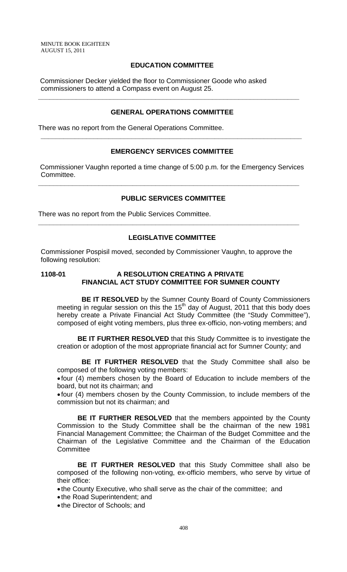MINUTE BOOK EIGHTEEN AUGUST 15, 2011

## **EDUCATION COMMITTEE**

 Commissioner Decker yielded the floor to Commissioner Goode who asked commissioners to attend a Compass event on August 25.

## **GENERAL OPERATIONS COMMITTEE**

**\_\_\_\_\_\_\_\_\_\_\_\_\_\_\_\_\_\_\_\_\_\_\_\_\_\_\_\_\_\_\_\_\_\_\_\_\_\_\_\_\_\_\_\_\_\_\_\_\_\_\_\_\_\_\_\_\_\_\_\_\_\_\_\_\_\_\_\_\_** 

There was no report from the General Operations Committee.

## **EMERGENCY SERVICES COMMITTEE**

**\_\_\_\_\_\_\_\_\_\_\_\_\_\_\_\_\_\_\_\_\_\_\_\_\_\_\_\_\_\_\_\_\_\_\_\_\_\_\_\_\_\_\_\_\_\_\_\_\_\_\_\_\_\_\_\_\_\_\_\_\_\_\_\_\_\_\_\_\_** 

 Commissioner Vaughn reported a time change of 5:00 p.m. for the Emergency Services Committee.

**\_\_\_\_\_\_\_\_\_\_\_\_\_\_\_\_\_\_\_\_\_\_\_\_\_\_\_\_\_\_\_\_\_\_\_\_\_\_\_\_\_\_\_\_\_\_\_\_\_\_\_\_\_\_\_\_\_\_\_\_\_\_\_\_\_\_\_\_\_** 

## **PUBLIC SERVICES COMMITTEE**

There was no report from the Public Services Committee.

## **LEGISLATIVE COMMITTEE**

**\_\_\_\_\_\_\_\_\_\_\_\_\_\_\_\_\_\_\_\_\_\_\_\_\_\_\_\_\_\_\_\_\_\_\_\_\_\_\_\_\_\_\_\_\_\_\_\_\_\_\_\_\_\_\_\_\_\_\_\_\_\_\_\_\_\_\_\_\_** 

Commissioner Pospisil moved, seconded by Commissioner Vaughn, to approve the following resolution:

## **1108-01 A RESOLUTION CREATING A PRIVATE FINANCIAL ACT STUDY COMMITTEE FOR SUMNER COUNTY**

 **BE IT RESOLVED** by the Sumner County Board of County Commissioners meeting in regular session on this the 15<sup>th</sup> day of August, 2011 that this body does hereby create a Private Financial Act Study Committee (the "Study Committee"), composed of eight voting members, plus three ex-officio, non-voting members; and

**BE IT FURTHER RESOLVED** that this Study Committee is to investigate the creation or adoption of the most appropriate financial act for Sumner County; and

 **BE IT FURTHER RESOLVED** that the Study Committee shall also be composed of the following voting members:

• four (4) members chosen by the Board of Education to include members of the board, but not its chairman; and

• four (4) members chosen by the County Commission, to include members of the commission but not its chairman; and

**BE IT FURTHER RESOLVED** that the members appointed by the County Commission to the Study Committee shall be the chairman of the new 1981 Financial Management Committee; the Chairman of the Budget Committee and the Chairman of the Legislative Committee and the Chairman of the Education **Committee** 

**BE IT FURTHER RESOLVED** that this Study Committee shall also be composed of the following non-voting, ex-officio members, who serve by virtue of their office:

• the County Executive, who shall serve as the chair of the committee; and

- the Road Superintendent; and
- the Director of Schools; and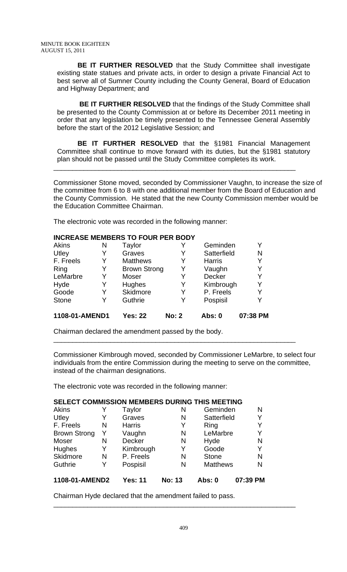**BE IT FURTHER RESOLVED** that the Study Committee shall investigate existing state statues and private acts, in order to design a private Financial Act to best serve all of Sumner County including the County General, Board of Education and Highway Department; and

**BE IT FURTHER RESOLVED** that the findings of the Study Committee shall be presented to the County Commission at or before its December 2011 meeting in order that any legislation be timely presented to the Tennessee General Assembly before the start of the 2012 Legislative Session; and

**BE IT FURTHER RESOLVED** that the §1981 Financial Management Committee shall continue to move forward with its duties, but the §1981 statutory plan should not be passed until the Study Committee completes its work.

\_\_\_\_\_\_\_\_\_\_\_\_\_\_\_\_\_\_\_\_\_\_\_\_\_\_\_\_\_\_\_\_\_\_\_\_\_\_\_\_\_\_\_\_\_\_\_\_\_\_\_\_\_\_\_\_\_\_\_\_\_\_\_\_

Commissioner Stone moved, seconded by Commissioner Vaughn, to increase the size of the committee from 6 to 8 with one additional member from the Board of Education and the County Commission. He stated that the new County Commission member would be the Education Committee Chairman.

The electronic vote was recorded in the following manner:

## **INCREASE MEMBERS TO FOUR PER BODY**

| Akins          | N | Taylor              |              | Geminden      | Y        |
|----------------|---|---------------------|--------------|---------------|----------|
| Utley          | Y | Graves              | Y            | Satterfield   | N        |
| F. Freels      | Y | <b>Matthews</b>     | Y            | <b>Harris</b> | Y        |
| Ring           | Y | <b>Brown Strong</b> | Y            | Vaughn        | Y        |
| LeMarbre       | Y | Moser               | Y            | <b>Decker</b> | Y        |
| Hyde           | Y | Hughes              | Y            | Kimbrough     | Y        |
| Goode          | Y | Skidmore            | Y            | P. Freels     | Y        |
| <b>Stone</b>   |   | Guthrie             | Y            | Pospisil      | Y        |
| 1108-01-AMEND1 |   | <b>Yes: 22</b>      | <b>No: 2</b> | <b>Abs: 0</b> | 07:38 PM |

Chairman declared the amendment passed by the body.

Commissioner Kimbrough moved, seconded by Commissioner LeMarbre, to select four individuals from the entire Commission during the meeting to serve on the committee, instead of the chairman designations.

\_\_\_\_\_\_\_\_\_\_\_\_\_\_\_\_\_\_\_\_\_\_\_\_\_\_\_\_\_\_\_\_\_\_\_\_\_\_\_\_\_\_\_\_\_\_\_\_\_\_\_\_\_\_\_\_\_\_\_\_\_\_\_\_

The electronic vote was recorded in the following manner:

## **SELECT COMMISSION MEMBERS DURING THIS MEETING**

| Akins               |   | Taylor         | Ν             | Geminden        | N        |
|---------------------|---|----------------|---------------|-----------------|----------|
| Utley               | Y | Graves         | N             | Satterfield     | Y        |
| F. Freels           | N | <b>Harris</b>  | Y             | Ring            | Y        |
| <b>Brown Strong</b> | Y | Vaughn         | N             | LeMarbre        | Y        |
| Moser               | N | Decker         | N             | Hyde            | N        |
| <b>Hughes</b>       | Y | Kimbrough      | Y             | Goode           | Y        |
| Skidmore            | N | P. Freels      | N             | <b>Stone</b>    | N        |
| Guthrie             | Y | Pospisil       | N             | <b>Matthews</b> | N        |
| 1108-01-AMEND2      |   | <b>Yes: 11</b> | <b>No: 13</b> | Abs: 0          | 07:39 PM |

Chairman Hyde declared that the amendment failed to pass.

\_\_\_\_\_\_\_\_\_\_\_\_\_\_\_\_\_\_\_\_\_\_\_\_\_\_\_\_\_\_\_\_\_\_\_\_\_\_\_\_\_\_\_\_\_\_\_\_\_\_\_\_\_\_\_\_\_\_\_\_\_\_\_\_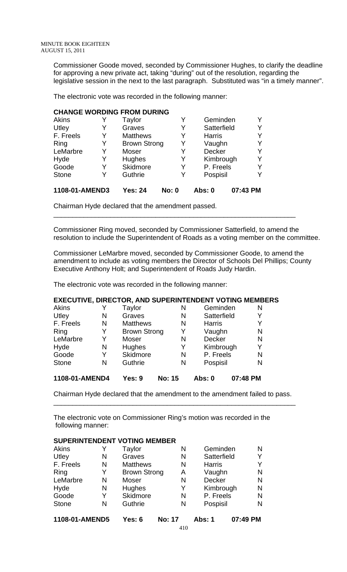Commissioner Goode moved, seconded by Commissioner Hughes, to clarify the deadline for approving a new private act, taking "during" out of the resolution, regarding the legislative session in the next to the last paragraph. Substituted was "in a timely manner".

The electronic vote was recorded in the following manner:

## **CHANGE WORDING FROM DURING**

| <b>Akins</b>   | Y | Taylor              | Y            | Geminden      |          |
|----------------|---|---------------------|--------------|---------------|----------|
| Utley          | Y | Graves              | Y            | Satterfield   | Y        |
| F. Freels      | Y | <b>Matthews</b>     | Y            | <b>Harris</b> | Y        |
| Ring           | Y | <b>Brown Strong</b> | Y            | Vaughn        | Y        |
| LeMarbre       | Y | Moser               | Y            | <b>Decker</b> | Y        |
| Hyde           | Y | Hughes              | Y            | Kimbrough     | Y        |
| Goode          | Y | Skidmore            | Y            | P. Freels     | Y        |
| <b>Stone</b>   | Y | Guthrie             | Y            | Pospisil      | Y        |
| 1108-01-AMEND3 |   | <b>Yes: 24</b>      | <b>No: 0</b> | Abs: 0        | 07:43 PM |

Chairman Hyde declared that the amendment passed.

Commissioner Ring moved, seconded by Commissioner Satterfield, to amend the resolution to include the Superintendent of Roads as a voting member on the committee.

\_\_\_\_\_\_\_\_\_\_\_\_\_\_\_\_\_\_\_\_\_\_\_\_\_\_\_\_\_\_\_\_\_\_\_\_\_\_\_\_\_\_\_\_\_\_\_\_\_\_\_\_\_\_\_\_\_\_\_\_\_\_\_\_

Commissioner LeMarbre moved, seconded by Commissioner Goode, to amend the amendment to include as voting members the Director of Schools Del Phillips; County Executive Anthony Holt; and Superintendent of Roads Judy Hardin.

The electronic vote was recorded in the following manner:

## **EXECUTIVE, DIRECTOR, AND SUPERINTENDENT VOTING MEMBERS**

| ,,,,, ,,     |   | $\mathbf{v}$ . $\mathbf{v}$ | <b>ALL JP</b> | $\blacksquare$ |   |
|--------------|---|-----------------------------|---------------|----------------|---|
| <b>Stone</b> | N | Guthrie                     | N             | Pospisil       | N |
| Goode        | Y | Skidmore                    | N             | P. Freels      | N |
| Hyde         | N | <b>Hughes</b>               | Y             | Kimbrough      | Y |
| LeMarbre     | Y | Moser                       | N             | <b>Decker</b>  | N |
| Ring         | Y | <b>Brown Strong</b>         | Y             | Vaughn         | N |
| F. Freels    | N | <b>Matthews</b><br>N        |               | <b>Harris</b>  | Y |
| Utley        | N | Graves<br>N                 |               | Satterfield    | Y |
| Akins        | Y | Taylor<br>N                 |               | Geminden       | N |

| 1108-01-AMEND4 | Yes: 9 | No: 15 | Abs: 0 | 07:48 PM |
|----------------|--------|--------|--------|----------|
|                |        |        |        |          |

Chairman Hyde declared that the amendment to the amendment failed to pass. \_\_\_\_\_\_\_\_\_\_\_\_\_\_\_\_\_\_\_\_\_\_\_\_\_\_\_\_\_\_\_\_\_\_\_\_\_\_\_\_\_\_\_\_\_\_\_\_\_\_\_\_\_\_\_\_\_\_\_\_\_\_\_\_

The electronic vote on Commissioner Ring's motion was recorded in the following manner:

|                |   | <b>SUPERINTENDENT VOTING MEMBER</b> |               |               |          |   |
|----------------|---|-------------------------------------|---------------|---------------|----------|---|
| <b>Akins</b>   |   | Taylor                              | N             | Geminden      |          | N |
| Utley          | N | Graves                              | N             | Satterfield   |          | Y |
| F. Freels      | N | <b>Matthews</b>                     | N             | <b>Harris</b> |          | Y |
| Ring           | Y | <b>Brown Strong</b>                 | Α             | Vaughn        |          | N |
| LeMarbre       | N | Moser                               | N             | <b>Decker</b> |          | N |
| Hyde           | N | Hughes                              | Y             | Kimbrough     |          | N |
| Goode          | Y | <b>Skidmore</b>                     | N             | P. Freels     |          | N |
| <b>Stone</b>   | N | Guthrie                             | N             | Pospisil      |          | N |
| 1108-01-AMEND5 |   | Yes: 6                              | <b>No: 17</b> | Abs: 1        | 07:49 PM |   |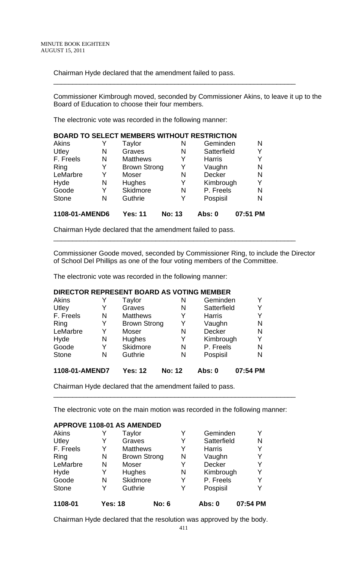Chairman Hyde declared that the amendment failed to pass.

Commissioner Kimbrough moved, seconded by Commissioner Akins, to leave it up to the Board of Education to choose their four members.

\_\_\_\_\_\_\_\_\_\_\_\_\_\_\_\_\_\_\_\_\_\_\_\_\_\_\_\_\_\_\_\_\_\_\_\_\_\_\_\_\_\_\_\_\_\_\_\_\_\_\_\_\_\_\_\_\_\_\_\_\_\_\_\_

The electronic vote was recorded in the following manner:

|              |                |                     |               | <b>BOARD TO SELECT MEMBERS WITHOUT RESTRICTION</b> |          |
|--------------|----------------|---------------------|---------------|----------------------------------------------------|----------|
| <b>Akins</b> |                | Taylor              | N             | Geminden                                           | N        |
| Utley        | N              | Graves              | N             | Satterfield                                        | Y        |
| F. Freels    | N              | <b>Matthews</b>     | Y             | <b>Harris</b>                                      | Y        |
| Ring         | Y              | <b>Brown Strong</b> | Y             | Vaughn                                             | N        |
| LeMarbre     | Y              | Moser               | N             | Decker                                             | N        |
| Hyde         | N              | <b>Hughes</b>       | Y             | Kimbrough                                          | Y        |
| Goode        | Y              | <b>Skidmore</b>     | N             | P. Freels                                          | N        |
| <b>Stone</b> | N              | Guthrie             | Y             | Pospisil                                           | N        |
|              | 1108-01-AMEND6 | <b>Yes: 11</b>      | <b>No: 13</b> | Abs: 0                                             | 07:51 PM |

Chairman Hyde declared that the amendment failed to pass.

Commissioner Goode moved, seconded by Commissioner Ring, to include the Director of School Del Phillips as one of the four voting members of the Committee.

\_\_\_\_\_\_\_\_\_\_\_\_\_\_\_\_\_\_\_\_\_\_\_\_\_\_\_\_\_\_\_\_\_\_\_\_\_\_\_\_\_\_\_\_\_\_\_\_\_\_\_\_\_\_\_\_\_\_\_\_\_\_\_\_

The electronic vote was recorded in the following manner:

## **DIRECTOR REPRESENT BOARD AS VOTING MEMBER**

| Akins          | Y | Taylor              | N             | Geminden      | Y        |
|----------------|---|---------------------|---------------|---------------|----------|
| Utley          | Y | Graves              | N             | Satterfield   | Y        |
| F. Freels      | N | <b>Matthews</b>     | Y             | <b>Harris</b> | Y        |
| Ring           | Y | <b>Brown Strong</b> | Y             | Vaughn        | N        |
| LeMarbre       | Y | Moser               | N             | <b>Decker</b> | N        |
| Hyde           | N | Hughes              | Y             | Kimbrough     | Y        |
| Goode          | Y | <b>Skidmore</b>     | N             | P. Freels     | N        |
| <b>Stone</b>   | N | Guthrie             | N             | Pospisil      | N        |
| 1108-01-AMEND7 |   | <b>Yes: 12</b>      | <b>No: 12</b> | Abs: 0        | 07:54 PM |

Chairman Hyde declared that the amendment failed to pass.

The electronic vote on the main motion was recorded in the following manner:

\_\_\_\_\_\_\_\_\_\_\_\_\_\_\_\_\_\_\_\_\_\_\_\_\_\_\_\_\_\_\_\_\_\_\_\_\_\_\_\_\_\_\_\_\_\_\_\_\_\_\_\_\_\_\_\_\_\_\_\_\_\_\_\_

## **APPROVE 1108-01 AS AMENDED**

| Akins        |                | Taylor              |                 | Y | Geminden      | Y        |
|--------------|----------------|---------------------|-----------------|---|---------------|----------|
| Utley        | Y              | Graves              |                 | Y | Satterfield   | N        |
| F. Freels    | Y              |                     | <b>Matthews</b> |   | <b>Harris</b> | Y        |
| Ring         | N              | <b>Brown Strong</b> |                 | N | Vaughn        | Y        |
| LeMarbre     | N              | Moser               |                 | Y | <b>Decker</b> | Υ        |
| Hyde         | Y              | Hughes              |                 | N | Kimbrough     | Y        |
| Goode        | N              | <b>Skidmore</b>     |                 | Y | P. Freels     | Y        |
| <b>Stone</b> | Y              | Guthrie             |                 | Y | Pospisil      | Y        |
| 1108-01      | <b>Yes: 18</b> |                     | <b>No: 6</b>    |   | Abs: 0        | 07:54 PM |

Chairman Hyde declared that the resolution was approved by the body.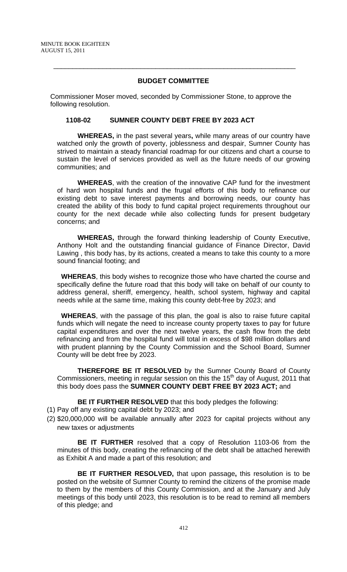## **BUDGET COMMITTEE**

\_\_\_\_\_\_\_\_\_\_\_\_\_\_\_\_\_\_\_\_\_\_\_\_\_\_\_\_\_\_\_\_\_\_\_\_\_\_\_\_\_\_\_\_\_\_\_\_\_\_\_\_\_\_\_\_\_\_\_\_\_\_\_\_

Commissioner Moser moved, seconded by Commissioner Stone, to approve the following resolution.

## **1108-02 SUMNER COUNTY DEBT FREE BY 2023 ACT**

**WHEREAS,** in the past several years**,** while many areas of our country have watched only the growth of poverty, joblessness and despair, Sumner County has strived to maintain a steady financial roadmap for our citizens and chart a course to sustain the level of services provided as well as the future needs of our growing communities; and

**WHEREAS**, with the creation of the innovative CAP fund for the investment of hard won hospital funds and the frugal efforts of this body to refinance our existing debt to save interest payments and borrowing needs, our county has created the ability of this body to fund capital project requirements throughout our county for the next decade while also collecting funds for present budgetary concerns; and

**WHEREAS,** through the forward thinking leadership of County Executive, Anthony Holt and the outstanding financial guidance of Finance Director, David Lawing , this body has, by its actions, created a means to take this county to a more sound financial footing; and

**WHEREAS**, this body wishes to recognize those who have charted the course and specifically define the future road that this body will take on behalf of our county to address general, sheriff, emergency, health, school system, highway and capital needs while at the same time, making this county debt-free by 2023; and

**WHEREAS**, with the passage of this plan, the goal is also to raise future capital funds which will negate the need to increase county property taxes to pay for future capital expenditures and over the next twelve years, the cash flow from the debt refinancing and from the hospital fund will total in excess of \$98 million dollars and with prudent planning by the County Commission and the School Board, Sumner County will be debt free by 2023.

**THEREFORE BE IT RESOLVED** by the Sumner County Board of County Commissioners, meeting in regular session on this the 15<sup>th</sup> day of August, 2011 that this body does pass the **SUMNER COUNTY DEBT FREE BY 2023 ACT;** and

**BE IT FURTHER RESOLVED** that this body pledges the following:

- (1) Pay off any existing capital debt by 2023; and
- (2) \$20,000,000 will be available annually after 2023 for capital projects without any new taxes or adjustments

**BE IT FURTHER** resolved that a copy of Resolution 1103-06 from the minutes of this body, creating the refinancing of the debt shall be attached herewith as Exhibit A and made a part of this resolution; and

**BE IT FURTHER RESOLVED,** that upon passage**,** this resolution is to be posted on the website of Sumner County to remind the citizens of the promise made to them by the members of this County Commission, and at the January and July meetings of this body until 2023, this resolution is to be read to remind all members of this pledge; and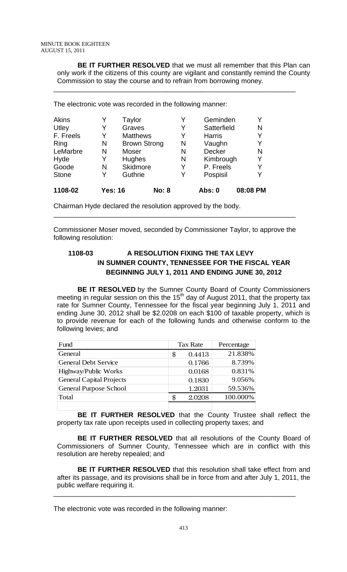**BE IT FURTHER RESOLVED** that we must all remember that this Plan can only work if the citizens of this county are vigilant and constantly remind the County Commission to stay the course and to refrain from borrowing money.

\_\_\_\_\_\_\_\_\_\_\_\_\_\_\_\_\_\_\_\_\_\_\_\_\_\_\_\_\_\_\_\_\_\_\_\_\_\_\_\_\_\_\_\_\_\_\_\_\_\_\_\_\_\_\_\_\_\_\_\_\_\_\_\_

The electronic vote was recorded in the following manner:

| <b>Akins</b> |                | Taylor              |                 |   | Geminden      |          |
|--------------|----------------|---------------------|-----------------|---|---------------|----------|
| Utley        | Y              | Graves              |                 | Y | Satterfield   | N        |
| F. Freels    | Y              |                     | <b>Matthews</b> |   | <b>Harris</b> | Y        |
| Ring         | N              | <b>Brown Strong</b> |                 | N | Vaughn        | Y        |
| LeMarbre     | N              | Moser               |                 | N | <b>Decker</b> | N        |
| Hyde         | Y              | Hughes              |                 | N | Kimbrough     | Y        |
| Goode        | N              | Skidmore            |                 | Y | P. Freels     |          |
| <b>Stone</b> | Y              | Guthrie             |                 | Y | Pospisil      | Y        |
| 1108-02      | <b>Yes: 16</b> |                     | <b>No: 8</b>    |   | Abs: 0        | 08:08 PM |

Chairman Hyde declared the resolution approved by the body.

Commissioner Moser moved, seconded by Commissioner Taylor, to approve the following resolution:

\_\_\_\_\_\_\_\_\_\_\_\_\_\_\_\_\_\_\_\_\_\_\_\_\_\_\_\_\_\_\_\_\_\_\_\_\_\_\_\_\_\_\_\_\_\_\_\_\_\_\_\_\_\_\_\_\_\_\_\_\_\_\_\_

## **1108-03 A RESOLUTION FIXING THE TAX LEVY IN SUMNER COUNTY, TENNESSEE FOR THE FISCAL YEAR BEGINNING JULY 1, 2011 AND ENDING JUNE 30, 2012**

**BE IT RESOLVED** by the Sumner County Board of County Commissioners meeting in regular session on this the 15<sup>th</sup> day of August 2011, that the property tax rate for Sumner County, Tennessee for the fiscal year beginning July 1, 2011 and ending June 30, 2012 shall be \$2.0208 on each \$100 of taxable property, which is to provide revenue for each of the following funds and otherwise conform to the following levies; and

| Fund                            | <b>Tax Rate</b> | Percentage |
|---------------------------------|-----------------|------------|
| General                         | \$<br>0.4413    | 21.838%    |
| <b>General Debt Service</b>     | 0.1766          | 8.739%     |
| Highway/Public Works            | 0.0168          | 0.831%     |
| <b>General Capital Projects</b> | 0.1830          | 9.056%     |
| <b>General Purpose School</b>   | 1.2031          | 59.536%    |
| Total                           | 2.0208          | 100.000%   |
|                                 |                 |            |

**BE IT FURTHER RESOLVED** that the County Trustee shall reflect the property tax rate upon receipts used in collecting property taxes; and

**BE IT FURTHER RESOLVED** that all resolutions of the County Board of Commissioners of Sumner County, Tennessee which are in conflict with this resolution are hereby repealed; and

**BE IT FURTHER RESOLVED** that this resolution shall take effect from and after its passage, and its provisions shall be in force from and after July 1, 2011, the public welfare requiring it.

\_\_\_\_\_\_\_\_\_\_\_\_\_\_\_\_\_\_\_\_\_\_\_\_\_\_\_\_\_\_\_\_\_\_\_\_\_\_\_\_\_\_\_\_\_\_\_\_\_\_\_\_\_\_\_\_\_\_\_\_\_\_\_\_

The electronic vote was recorded in the following manner: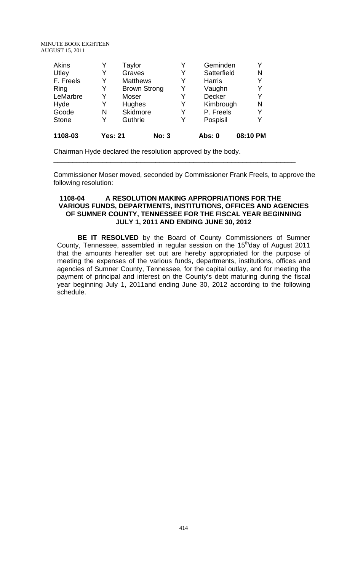MINUTE BOOK EIGHTEEN AUGUST 15, 2011

| Akins<br>Utley | Y<br>Y         | Taylor<br>Graves |                     | Y<br>Y | Geminden<br>Satterfield | Y<br>N   |
|----------------|----------------|------------------|---------------------|--------|-------------------------|----------|
| F. Freels      | Y              | <b>Matthews</b>  |                     | Y      | <b>Harris</b>           | Y        |
| Ring           | Y              |                  | <b>Brown Strong</b> | Y      | Vaughn                  | Y        |
| LeMarbre       | Y              | <b>Moser</b>     |                     | Y      | <b>Decker</b>           | Y        |
| Hyde           | Y              | <b>Hughes</b>    |                     | Y      | Kimbrough               | N        |
| Goode          | N              | <b>Skidmore</b>  |                     | Y      | P. Freels               | Y        |
| <b>Stone</b>   | Y              | Guthrie          |                     | Y      | Pospisil                | Y        |
| 1108-03        | <b>Yes: 21</b> |                  | <b>No: 3</b>        |        | Abs: 0                  | 08:10 PM |

Chairman Hyde declared the resolution approved by the body.

Commissioner Moser moved, seconded by Commissioner Frank Freels, to approve the following resolution:

\_\_\_\_\_\_\_\_\_\_\_\_\_\_\_\_\_\_\_\_\_\_\_\_\_\_\_\_\_\_\_\_\_\_\_\_\_\_\_\_\_\_\_\_\_\_\_\_\_\_\_\_\_\_\_\_\_\_\_\_\_\_\_\_

## **1108-04 A RESOLUTION MAKING APPROPRIATIONS FOR THE VARIOUS FUNDS, DEPARTMENTS, INSTITUTIONS, OFFICES AND AGENCIES OF SUMNER COUNTY, TENNESSEE FOR THE FISCAL YEAR BEGINNING JULY 1, 2011 AND ENDING JUNE 30, 2012**

**BE IT RESOLVED** by the Board of County Commissioners of Sumner County, Tennessee, assembled in regular session on the 15<sup>th</sup>day of August 2011 that the amounts hereafter set out are hereby appropriated for the purpose of meeting the expenses of the various funds, departments, institutions, offices and agencies of Sumner County, Tennessee, for the capital outlay, and for meeting the payment of principal and interest on the County's debt maturing during the fiscal year beginning July 1, 2011and ending June 30, 2012 according to the following schedule.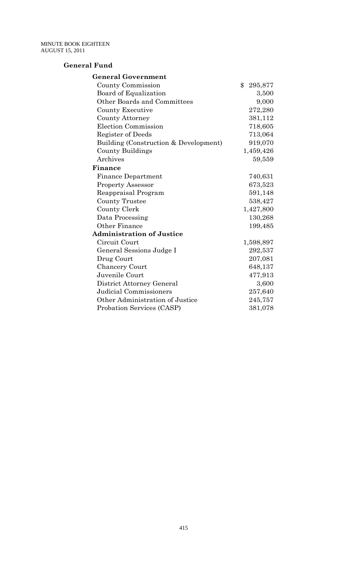## **General Fund**

| <b>General Government</b>             |                          |
|---------------------------------------|--------------------------|
| County Commission                     | $\mathbf{\$}$<br>295,877 |
| Board of Equalization                 | 3,500                    |
| Other Boards and Committees           | 9,000                    |
| County Executive                      | 272,280                  |
| <b>County Attorney</b>                | 381,112                  |
| <b>Election Commission</b>            | 718,605                  |
| Register of Deeds                     | 713,064                  |
| Building (Construction & Development) | 919,070                  |
| County Buildings                      | 1,459,426                |
| Archives                              | 59,559                   |
| Finance                               |                          |
| <b>Finance Department</b>             | 740,631                  |
| <b>Property Assessor</b>              | 673,523                  |
| Reappraisal Program                   | 591,148                  |
| <b>County Trustee</b>                 | 538,427                  |
| County Clerk                          | 1,427,800                |
| Data Processing                       | 130,268                  |
| Other Finance                         | 199,485                  |
| <b>Administration of Justice</b>      |                          |
| Circuit Court                         | 1,598,897                |
| General Sessions Judge I              | 292,537                  |
| Drug Court                            | 207,081                  |
| <b>Chancery Court</b>                 | 648,137                  |
| Juvenile Court                        | 477,913                  |
| District Attorney General             | 3,600                    |
| Judicial Commissioners                | 257,640                  |
| Other Administration of Justice       | 245,757                  |
| Probation Services (CASP)             | 381,078                  |
|                                       |                          |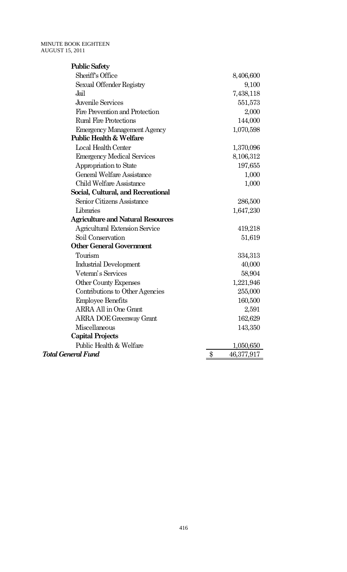| <b>Public Safety</b>                     |                  |
|------------------------------------------|------------------|
| Sheriff's Office                         | 8,406,600        |
| Sexual Offender Registry                 | 9,100            |
| Jail                                     | 7,438,118        |
| Juvenile Services                        | 551,573          |
| Fire Prevention and Protection           | 2,000            |
| <b>Rural Fire Protections</b>            | 144,000          |
| <b>Emergency Management Agency</b>       | 1,070,598        |
| <b>Public Health &amp; Welfare</b>       |                  |
| Local Health Center                      | 1,370,096        |
| <b>Emergency Medical Services</b>        | 8,106,312        |
| Appropriation to State                   | 197,655          |
| General Welfare Assistance               | 1,000            |
| <b>Child Welfare Assistance</b>          | 1,000            |
| Social, Cultural, and Recreational       |                  |
| Senior Citizens Assistance               | 286,500          |
| Libraries                                | 1,647,230        |
| <b>Agriculture and Natural Resources</b> |                  |
| <b>Agricultural Extension Service</b>    | 419,218          |
| Soil Conservation                        | 51,619           |
| <b>Other General Government</b>          |                  |
| Tourism                                  | 334,313          |
| Industrial Development                   | 40,000           |
| Veteran's Services                       | 58,904           |
| Other County Expenses                    | 1,221,946        |
| Contributions to Other Agencies          | 255,000          |
| <b>Employee Benefits</b>                 | 160,500          |
| <b>ARRA All in One Grant</b>             | 2,591            |
| <b>ARRA DOE Greenway Grant</b>           | 162,629          |
| Miscellaneous                            | 143,350          |
| <b>Capital Projects</b>                  |                  |
| Public Health & Welfare                  | 1,050,650        |
| <b>Total General Fund</b>                | \$<br>46,377,917 |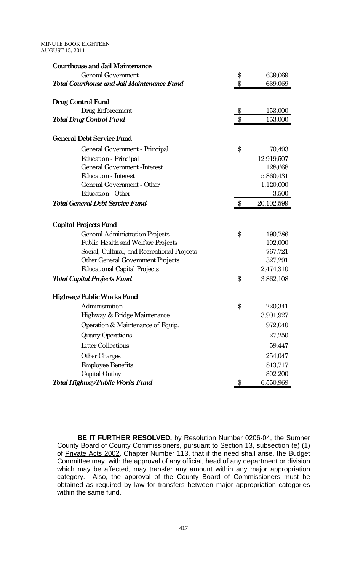| <b>Courthouse and Jail Maintenance</b>      |               |            |
|---------------------------------------------|---------------|------------|
| General Government                          | \$            | 639,069    |
| Total Courthouse and Jail Maintenance Fund  | \$            | 639,069    |
| Drug Control Fund                           |               |            |
| Drug Enforcement                            | $\frac{6}{5}$ | 153,000    |
| <b>Total Drug Control Fund</b>              | $\$\$         | 153,000    |
| <b>General Debt Service Fund</b>            |               |            |
| General Government - Principal              | \$            | 70,493     |
| Education - Principal                       |               | 12,919,507 |
| General Government - Interest               |               | 128,668    |
| Education - Interest                        |               | 5,860,431  |
| General Government - Other                  |               | 1,120,000  |
| Education - Other                           |               | 3,500      |
| <b>Total General Debt Service Fund</b>      | \$            | 20,102,599 |
|                                             |               |            |
| Capital Projects Fund                       |               |            |
| General Administration Projects             | \$            | 190,786    |
| Public Health and Welfare Projects          |               | 102,000    |
| Social, Cultural, and Recreational Projects |               | 767,721    |
| Other General Government Projects           |               | 327,291    |
| <b>Educational Capital Projects</b>         |               | 2,474,310  |
| <b>Total Capital Projects Fund</b>          | \$            | 3,862,108  |
| Highway/Public Works Fund                   |               |            |
| Administration                              | \$            | 220,341    |
| Highway & Bridge Maintenance                |               | 3,901,927  |
| Operation & Maintenance of Equip.           |               | 972,040    |
| <b>Quarry Operations</b>                    |               | 27,250     |
| <b>Litter Collections</b>                   |               | 59,447     |
| Other Charges                               |               | 254,047    |
| <b>Employee Benefits</b>                    |               | 813,717    |
| Capital Outlay                              |               | 302,200    |
| Total Highway/Public Works Fund             | \$            | 6,550,969  |

**BE IT FURTHER RESOLVED,** by Resolution Number 0206-04, the Sumner County Board of County Commissioners, pursuant to Section 13, subsection (e) (1) of Private Acts 2002, Chapter Number 113, that if the need shall arise, the Budget Committee may, with the approval of any official, head of any department or division which may be affected, may transfer any amount within any major appropriation category. Also, the approval of the County Board of Commissioners must be obtained as required by law for transfers between major appropriation categories within the same fund.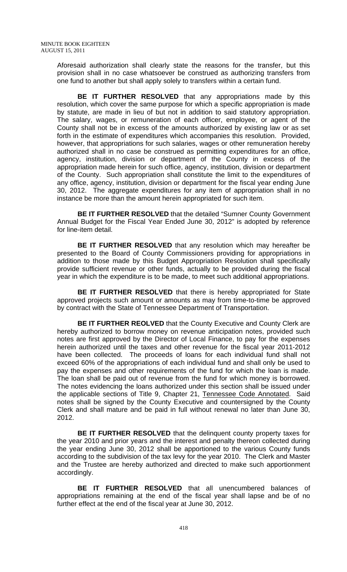Aforesaid authorization shall clearly state the reasons for the transfer, but this provision shall in no case whatsoever be construed as authorizing transfers from one fund to another but shall apply solely to transfers within a certain fund.

**BE IT FURTHER RESOLVED** that any appropriations made by this resolution, which cover the same purpose for which a specific appropriation is made by statute, are made in lieu of but not in addition to said statutory appropriation. The salary, wages, or remuneration of each officer, employee, or agent of the County shall not be in excess of the amounts authorized by existing law or as set forth in the estimate of expenditures which accompanies this resolution. Provided, however, that appropriations for such salaries, wages or other remuneration hereby authorized shall in no case be construed as permitting expenditures for an office, agency, institution, division or department of the County in excess of the appropriation made herein for such office, agency, institution, division or department of the County. Such appropriation shall constitute the limit to the expenditures of any office, agency, institution, division or department for the fiscal year ending June 30, 2012. The aggregate expenditures for any item of appropriation shall in no instance be more than the amount herein appropriated for such item.

**BE IT FURTHER RESOLVED** that the detailed "Sumner County Government Annual Budget for the Fiscal Year Ended June 30, 2012" is adopted by reference for line-item detail.

**BE IT FURTHER RESOLVED** that any resolution which may hereafter be presented to the Board of County Commissioners providing for appropriations in addition to those made by this Budget Appropriation Resolution shall specifically provide sufficient revenue or other funds, actually to be provided during the fiscal year in which the expenditure is to be made, to meet such additional appropriations.

**BE IT FURTHER RESOLVED** that there is hereby appropriated for State approved projects such amount or amounts as may from time-to-time be approved by contract with the State of Tennessee Department of Transportation.

**BE IT FURTHER REOLVED** that the County Executive and County Clerk are hereby authorized to borrow money on revenue anticipation notes, provided such notes are first approved by the Director of Local Finance, to pay for the expenses herein authorized until the taxes and other revenue for the fiscal year 2011-2012 have been collected. The proceeds of loans for each individual fund shall not exceed 60% of the appropriations of each individual fund and shall only be used to pay the expenses and other requirements of the fund for which the loan is made. The loan shall be paid out of revenue from the fund for which money is borrowed. The notes evidencing the loans authorized under this section shall be issued under the applicable sections of Title 9, Chapter 21, Tennessee Code Annotated. Said notes shall be signed by the County Executive and countersigned by the County Clerk and shall mature and be paid in full without renewal no later than June 30, 2012.

**BE IT FURTHER RESOLVED** that the delinquent county property taxes for the year 2010 and prior years and the interest and penalty thereon collected during the year ending June 30, 2012 shall be apportioned to the various County funds according to the subdivision of the tax levy for the year 2010. The Clerk and Master and the Trustee are hereby authorized and directed to make such apportionment accordingly.

**BE IT FURTHER RESOLVED** that all unencumbered balances of appropriations remaining at the end of the fiscal year shall lapse and be of no further effect at the end of the fiscal year at June 30, 2012.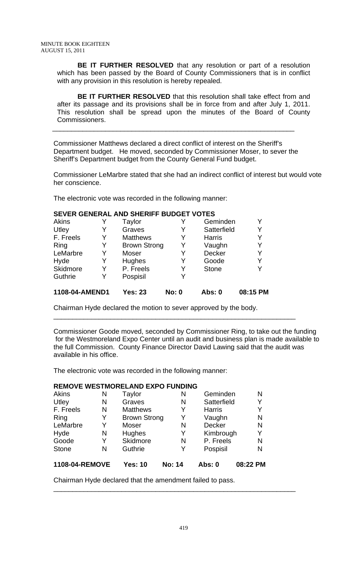**BE IT FURTHER RESOLVED** that any resolution or part of a resolution which has been passed by the Board of County Commissioners that is in conflict with any provision in this resolution is hereby repealed.

**BE IT FURTHER RESOLVED** that this resolution shall take effect from and after its passage and its provisions shall be in force from and after July 1, 2011. This resolution shall be spread upon the minutes of the Board of County Commissioners.

Commissioner Matthews declared a direct conflict of interest on the Sheriff's Department budget. He moved, seconded by Commissioner Moser, to sever the Sheriff's Department budget from the County General Fund budget.

\_\_\_\_\_\_\_\_\_\_\_\_\_\_\_\_\_\_\_\_\_\_\_\_\_\_\_\_\_\_\_\_\_\_\_\_\_\_\_\_\_\_\_\_\_\_\_\_\_\_\_\_\_\_\_\_\_\_\_\_\_\_\_\_

Commissioner LeMarbre stated that she had an indirect conflict of interest but would vote her conscience.

The electronic vote was recorded in the following manner:

## **SEVER GENERAL AND SHERIFF BUDGET VOTES**

| Akins          |   | Taylor              | Y            | Geminden      | Y        |
|----------------|---|---------------------|--------------|---------------|----------|
| Utley          |   | Graves              | Y            | Satterfield   | Y        |
| F. Freels      | Y | <b>Matthews</b>     | Y            | <b>Harris</b> | Y        |
| Ring           | Y | <b>Brown Strong</b> | Y            | Vaughn        | Y        |
| LeMarbre       | Y | Moser               | Y            | <b>Decker</b> | Y        |
| Hyde           | Y | Hughes              | Y            | Goode         | Y        |
| Skidmore       | Y | P. Freels           | Y            | <b>Stone</b>  | Y        |
| Guthrie        | Y | Pospisil            | Y            |               |          |
| 1108-04-AMEND1 |   | <b>Yes: 23</b>      | <b>No: 0</b> | Abs: 0        | 08:15 PM |

Chairman Hyde declared the motion to sever approved by the body.

Commissioner Goode moved, seconded by Commissioner Ring, to take out the funding for the Westmoreland Expo Center until an audit and business plan is made available to the full Commission. County Finance Director David Lawing said that the audit was available in his office.

\_\_\_\_\_\_\_\_\_\_\_\_\_\_\_\_\_\_\_\_\_\_\_\_\_\_\_\_\_\_\_\_\_\_\_\_\_\_\_\_\_\_\_\_\_\_\_\_\_\_\_\_\_\_\_\_\_\_\_\_\_\_\_\_

The electronic vote was recorded in the following manner:

## **REMOVE WESTMORELAND EXPO FUNDING**

| <b>Akins</b>   | N | Taylor              | N             | Geminden      | N        |
|----------------|---|---------------------|---------------|---------------|----------|
| Utley          | N | Graves              | N             | Satterfield   | Y        |
| F. Freels      | N | <b>Matthews</b>     | Y             | <b>Harris</b> | Y        |
| Ring           | Y | <b>Brown Strong</b> | Y             | Vaughn        | N        |
| LeMarbre       | Y | Moser               | N             | <b>Decker</b> | N        |
| Hyde           | N | Hughes              | Y             | Kimbrough     | Y        |
| Goode          | Y | <b>Skidmore</b>     | N             | P. Freels     | N        |
| <b>Stone</b>   | N | Guthrie             | Y             | Pospisil      | N        |
| 1108-04-REMOVE |   | <b>Yes: 10</b>      | <b>No: 14</b> | <b>Abs: 0</b> | 08:22 PM |

Chairman Hyde declared that the amendment failed to pass.

\_\_\_\_\_\_\_\_\_\_\_\_\_\_\_\_\_\_\_\_\_\_\_\_\_\_\_\_\_\_\_\_\_\_\_\_\_\_\_\_\_\_\_\_\_\_\_\_\_\_\_\_\_\_\_\_\_\_\_\_\_\_\_\_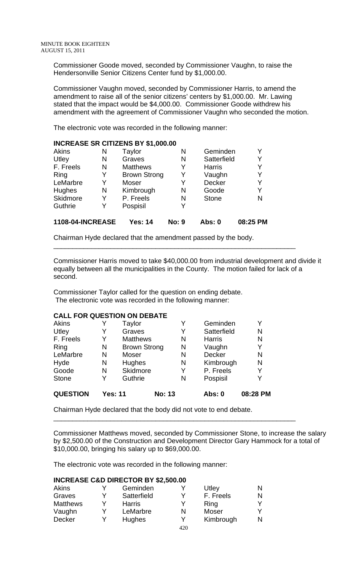Commissioner Goode moved, seconded by Commissioner Vaughn, to raise the Hendersonville Senior Citizens Center fund by \$1,000.00.

Commissioner Vaughn moved, seconded by Commissioner Harris, to amend the amendment to raise all of the senior citizens' centers by \$1,000.00. Mr. Lawing stated that the impact would be \$4,000.00. Commissioner Goode withdrew his amendment with the agreement of Commissioner Vaughn who seconded the motion.

The electronic vote was recorded in the following manner:

| <b>INCREASE SR CITIZENS BY \$1,000.00</b> |   |                     |              |               |          |  |  |  |  |
|-------------------------------------------|---|---------------------|--------------|---------------|----------|--|--|--|--|
| <b>Akins</b>                              | N | Taylor              | N            | Geminden      |          |  |  |  |  |
| Utley                                     | N | Graves              | N            | Satterfield   |          |  |  |  |  |
| F. Freels                                 | N | <b>Matthews</b>     | Y            | <b>Harris</b> | Y        |  |  |  |  |
| Ring                                      | Y | <b>Brown Strong</b> | Y            | Vaughn        | Y        |  |  |  |  |
| LeMarbre                                  | Y | <b>Moser</b>        | Y            | <b>Decker</b> | Y        |  |  |  |  |
| Hughes                                    | N | Kimbrough           | N            | Goode         | Y        |  |  |  |  |
| Skidmore                                  | Y | P. Freels           | N            | <b>Stone</b>  | N        |  |  |  |  |
| Guthrie                                   | Y | Pospisil            | Y            |               |          |  |  |  |  |
| <b>1108-04-INCREASE</b>                   |   | <b>Yes: 14</b>      | <b>No: 9</b> | <b>Abs: 0</b> | 08:25 PM |  |  |  |  |

Chairman Hyde declared that the amendment passed by the body.

Commissioner Harris moved to take \$40,000.00 from industrial development and divide it equally between all the municipalities in the County. The motion failed for lack of a second.

\_\_\_\_\_\_\_\_\_\_\_\_\_\_\_\_\_\_\_\_\_\_\_\_\_\_\_\_\_\_\_\_\_\_\_\_\_\_\_\_\_\_\_\_\_\_\_\_\_\_\_\_\_\_\_\_\_\_\_\_\_\_\_\_

Commissioner Taylor called for the question on ending debate. The electronic vote was recorded in the following manner:

## **CALL FOR QUESTION ON DEBATE**

| <b>Akins</b>    |                | Taylor              | Y             | Geminden      | Y        |
|-----------------|----------------|---------------------|---------------|---------------|----------|
| Utley           | Y              | Graves              | Y             | Satterfield   | N        |
| F. Freels       | Y              | <b>Matthews</b>     | N             | <b>Harris</b> | N        |
| Ring            | N              | <b>Brown Strong</b> | N             | Vaughn        | Y        |
| LeMarbre        | N              | Moser               | N             | <b>Decker</b> | N        |
| Hyde            | N              | Hughes              | N             | Kimbrough     | N        |
| Goode           | N              | Skidmore            | Y             | P. Freels     | Y        |
| <b>Stone</b>    | Y              | Guthrie             | N             | Pospisil      | Y        |
| <b>QUESTION</b> | <b>Yes: 11</b> |                     | <b>No: 13</b> | <b>Abs: 0</b> | 08:28 PM |

Chairman Hyde declared that the body did not vote to end debate.

Commissioner Matthews moved, seconded by Commissioner Stone, to increase the salary by \$2,500.00 of the Construction and Development Director Gary Hammock for a total of \$10,000.00, bringing his salary up to \$69,000.00.

\_\_\_\_\_\_\_\_\_\_\_\_\_\_\_\_\_\_\_\_\_\_\_\_\_\_\_\_\_\_\_\_\_\_\_\_\_\_\_\_\_\_\_\_\_\_\_\_\_\_\_\_\_\_\_\_\_\_\_\_\_\_\_\_

The electronic vote was recorded in the following manner:

## **INCREASE C&D DIRECTOR BY \$2,500.00**

| Akins           |   | Geminden      |     | Utley     | N |
|-----------------|---|---------------|-----|-----------|---|
| Graves          | v | Satterfield   | v   | F. Freels | N |
| <b>Matthews</b> | v | <b>Harris</b> | v   | Ring      |   |
| Vaughn          |   | LeMarbre      | N   | Moser     |   |
| Decker          |   | Hughes        | v   | Kimbrough | N |
|                 |   |               | 420 |           |   |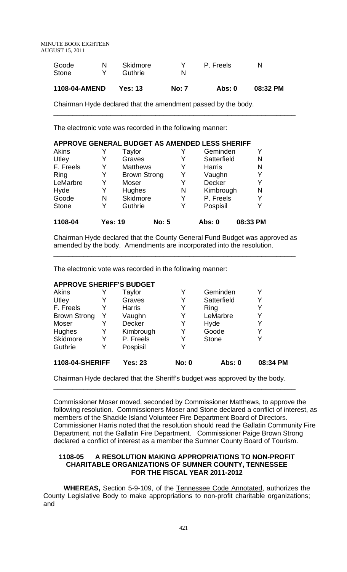MINUTE BOOK EIGHTEEN AUGUST 15, 2011

| 1108-04-AMEND | <b>Yes: 13</b> | <b>No: 7</b> | Abs: 0    | 08:32 PM |
|---------------|----------------|--------------|-----------|----------|
| Stone         | Guthrie        | N            |           |          |
| Goode         | Skidmore       |              | P. Freels | N        |

\_\_\_\_\_\_\_\_\_\_\_\_\_\_\_\_\_\_\_\_\_\_\_\_\_\_\_\_\_\_\_\_\_\_\_\_\_\_\_\_\_\_\_\_\_\_\_\_\_\_\_\_\_\_\_\_\_\_\_\_\_\_\_\_

Chairman Hyde declared that the amendment passed by the body.

The electronic vote was recorded in the following manner:

| APPROVE GENERAL BUDGET AS AMENDED LESS SHERIFF |                |                     |              |   |               |          |
|------------------------------------------------|----------------|---------------------|--------------|---|---------------|----------|
| <b>Akins</b>                                   |                | Taylor              |              |   | Geminden      |          |
| Utley                                          | Y              | Graves              |              |   | Satterfield   | N        |
| F. Freels                                      | Y              | <b>Matthews</b>     |              |   | <b>Harris</b> | N        |
| Ring                                           | Y              | <b>Brown Strong</b> |              | Y | Vaughn        |          |
| LeMarbre                                       | Y              | Moser               |              | Y | <b>Decker</b> |          |
| Hyde                                           | Y              | Hughes              |              | N | Kimbrough     | N        |
| Goode                                          | N              | Skidmore            |              | Y | P. Freels     |          |
| <b>Stone</b>                                   | Y              | Guthrie             |              |   | Pospisil      |          |
| 1108-04                                        | <b>Yes: 19</b> |                     | <b>No: 5</b> |   | <b>Abs: 0</b> | 08:33 PM |

Chairman Hyde declared that the County General Fund Budget was approved as amended by the body. Amendments are incorporated into the resolution.

\_\_\_\_\_\_\_\_\_\_\_\_\_\_\_\_\_\_\_\_\_\_\_\_\_\_\_\_\_\_\_\_\_\_\_\_\_\_\_\_\_\_\_\_\_\_\_\_\_\_\_\_\_\_\_\_\_\_\_\_\_\_\_\_

The electronic vote was recorded in the following manner:

#### **APPROVE SHERIFF'S BUDGET**

| <b>1108-04-SHERIFF</b> | <b>Yes: 23</b> | <b>No: 0</b> | <b>Abs: 0</b> | 08:34 PM |
|------------------------|----------------|--------------|---------------|----------|
| Y                      | Pospisil       | v            |               |          |
| Y                      | P. Freels      | Y            | <b>Stone</b>  |          |
| Y                      | Kimbrough      | Y            | Goode         | Y        |
| Y                      | Decker         | Y            | Hyde          | Y        |
| Y                      | Vaughn         | Y            | LeMarbre      | Y        |
| Y                      | <b>Harris</b>  | Y            | Ring          | Y        |
| Y                      | Graves         | Y            | Satterfield   | Y        |
|                        | Taylor         |              | Geminden      |          |
|                        |                |              |               |          |

Chairman Hyde declared that the Sheriff's budget was approved by the body.

\_\_\_\_\_\_\_\_\_\_\_\_\_\_\_\_\_\_\_\_\_\_\_\_\_\_\_\_\_\_\_\_\_\_\_\_\_\_\_\_\_\_\_\_\_\_\_\_\_\_\_\_\_\_\_\_\_\_\_\_\_\_\_\_

Commissioner Moser moved, seconded by Commissioner Matthews, to approve the following resolution. Commissioners Moser and Stone declared a conflict of interest, as members of the Shackle Island Volunteer Fire Department Board of Directors. Commissioner Harris noted that the resolution should read the Gallatin Community Fire Department, not the Gallatin Fire Department. Commissioner Paige Brown Strong declared a conflict of interest as a member the Sumner County Board of Tourism.

## **1108-05 A RESOLUTION MAKING APPROPRIATIONS TO NON-PROFIT CHARITABLE ORGANIZATIONS OF SUMNER COUNTY, TENNESSEE FOR THE FISCAL YEAR 2011-2012**

**WHEREAS,** Section 5-9-109, of the Tennessee Code Annotated, authorizes the County Legislative Body to make appropriations to non-profit charitable organizations; and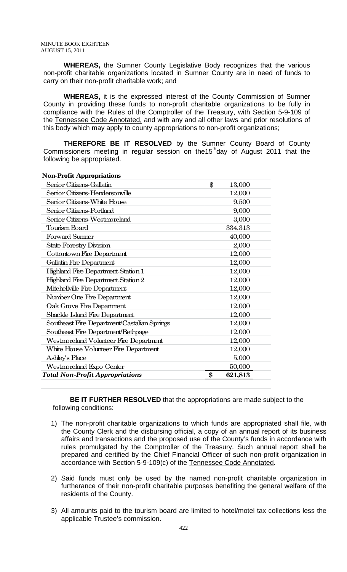**WHEREAS,** the Sumner County Legislative Body recognizes that the various non-profit charitable organizations located in Sumner County are in need of funds to carry on their non-profit charitable work; and

**WHEREAS,** it is the expressed interest of the County Commission of Sumner County in providing these funds to non-profit charitable organizations to be fully in compliance with the Rules of the Comptroller of the Treasury, with Section 5-9-109 of the Tennessee Code Annotated, and with any and all other laws and prior resolutions of this body which may apply to county appropriations to non-profit organizations;

**THEREFORE BE IT RESOLVED** by the Sumner County Board of County Commissioners meeting in regular session on the15<sup>th</sup>day of August 2011 that the following be appropriated.

| <b>Non-Profit Appropriations</b>            |                         |  |
|---------------------------------------------|-------------------------|--|
| Senior Citizens-Gallatin                    | $\mathbf{\$}$<br>13,000 |  |
| Senior Citizens-Hendersonville              | 12,000                  |  |
| Senior Citizens-White House                 | 9,500                   |  |
| Senior Citizens-Portland                    | 9,000                   |  |
| Senior Citizens-Westmoreland                | 3,000                   |  |
| Tourism Board                               | 334,313                 |  |
| <b>Forward Summer</b>                       | 40,000                  |  |
| <b>State Forestry Division</b>              | 2,000                   |  |
| Cottontown Fire Department                  | 12,000                  |  |
| Gallatin Fire Department                    | 12,000                  |  |
| Highland Fire Department Station 1          | 12,000                  |  |
| Highland Fire Department Station 2          | 12,000                  |  |
| Mitchellville Fire Department               | 12,000                  |  |
| Number One Fire Department                  | 12,000                  |  |
| Oak Grove Fire Department                   | 12,000                  |  |
| Shackle Island Fire Department              | 12,000                  |  |
| Southeast Fire Department/Castalian Springs | 12,000                  |  |
| Southeast Fire Department/Bethpage          | 12,000                  |  |
| Westmoreland Volunteer Fire Department      | 12,000                  |  |
| White House Volunteer Fire Department       | 12,000                  |  |
| Ashley's Place                              | 5,000                   |  |
| Westmoreland Expo Center                    | 50,000                  |  |
| <b>Total Non-Profit Appropriations</b>      | \$<br>621,813           |  |
|                                             |                         |  |

 **BE IT FURTHER RESOLVED** that the appropriations are made subject to the following conditions:

- 1) The non-profit charitable organizations to which funds are appropriated shall file, with the County Clerk and the disbursing official, a copy of an annual report of its business affairs and transactions and the proposed use of the County's funds in accordance with rules promulgated by the Comptroller of the Treasury. Such annual report shall be prepared and certified by the Chief Financial Officer of such non-profit organization in accordance with Section 5-9-109(c) of the Tennessee Code Annotated.
- 2) Said funds must only be used by the named non-profit charitable organization in furtherance of their non-profit charitable purposes benefiting the general welfare of the residents of the County.
- 3) All amounts paid to the tourism board are limited to hotel/motel tax collections less the applicable Trustee's commission.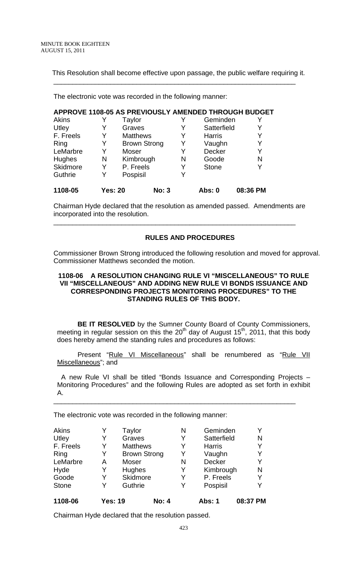This Resolution shall become effective upon passage, the public welfare requiring it.

\_\_\_\_\_\_\_\_\_\_\_\_\_\_\_\_\_\_\_\_\_\_\_\_\_\_\_\_\_\_\_\_\_\_\_\_\_\_\_\_\_\_\_\_\_\_\_\_\_\_\_\_\_\_\_\_\_\_\_\_\_\_\_\_

The electronic vote was recorded in the following manner:

|           |         |        |                     |   |               | APPROVE 1108-05 AS PREVIOUSLY AMENDED THROUGH BUDGET |
|-----------|---------|--------|---------------------|---|---------------|------------------------------------------------------|
| Akins     |         | Taylor |                     |   | Geminden      |                                                      |
| Utley     |         | Graves |                     | Y | Satterfield   | Y                                                    |
| F. Freels | Y       |        | <b>Matthews</b>     | Y | <b>Harris</b> | Y                                                    |
| Ring      | Y       |        | <b>Brown Strong</b> | Y | Vaughn        | Y                                                    |
| LeMarbre  | Y       | Moser  |                     | Y | <b>Decker</b> | Y                                                    |
| Hughes    | N       |        | Kimbrough           | N | Goode         | N                                                    |
| Skidmore  | Y       |        | P. Freels           | Y | <b>Stone</b>  | Y                                                    |
| Guthrie   | Y       |        | Pospisil            | Y |               |                                                      |
| 1108-05   | Yes: 20 |        | <b>No: 3</b>        |   | Abs: 0        | 08:36 PM                                             |

Chairman Hyde declared that the resolution as amended passed. Amendments are incorporated into the resolution.

\_\_\_\_\_\_\_\_\_\_\_\_\_\_\_\_\_\_\_\_\_\_\_\_\_\_\_\_\_\_\_\_\_\_\_\_\_\_\_\_\_\_\_\_\_\_\_\_\_\_\_\_\_\_\_\_\_\_\_\_\_\_\_\_

## **RULES AND PROCEDURES**

Commissioner Brown Strong introduced the following resolution and moved for approval. Commissioner Matthews seconded the motion.

## **1108-06 A RESOLUTION CHANGING RULE VI "MISCELLANEOUS" TO RULE VII "MISCELLANEOUS" AND ADDING NEW RULE VI BONDS ISSUANCE AND CORRESPONDING PROJECTS MONITORING PROCEDURES" TO THE STANDING RULES OF THIS BODY.**

**BE IT RESOLVED** by the Sumner County Board of County Commissioners, meeting in regular session on this the 20<sup>th</sup> day of August 15<sup>th</sup>, 2011, that this body does hereby amend the standing rules and procedures as follows:

Present "Rule VI Miscellaneous" shall be renumbered as "Rule VII Miscellaneous"; and

 A new Rule VI shall be titled "Bonds Issuance and Corresponding Projects – Monitoring Procedures" and the following Rules are adopted as set forth in exhibit A.

\_\_\_\_\_\_\_\_\_\_\_\_\_\_\_\_\_\_\_\_\_\_\_\_\_\_\_\_\_\_\_\_\_\_\_\_\_\_\_\_\_\_\_\_\_\_\_\_\_\_\_\_\_\_\_\_\_\_\_\_\_\_\_\_

The electronic vote was recorded in the following manner:

| 1108-06      | <b>Yes: 19</b> |                 | <b>No: 4</b>        |   | Abs: 1        | 08:37 PM |
|--------------|----------------|-----------------|---------------------|---|---------------|----------|
| <b>Stone</b> | Y              | Guthrie         |                     | Y | Pospisil      | Y        |
| Goode        | Y              | Skidmore        |                     | Y | P. Freels     | Y        |
| Hyde         | Y              | Hughes          |                     | Y | Kimbrough     | N        |
| LeMarbre     | А              | Moser           |                     | N | <b>Decker</b> | Y        |
| Ring         | Y              |                 | <b>Brown Strong</b> | Y | Vaughn        | Y        |
| F. Freels    | Y              | <b>Matthews</b> |                     | Y | <b>Harris</b> |          |
| Utley        | Y              | Graves          |                     | Y | Satterfield   | N        |
| <b>Akins</b> |                | Taylor          |                     | N | Geminden      | Y        |

Chairman Hyde declared that the resolution passed.